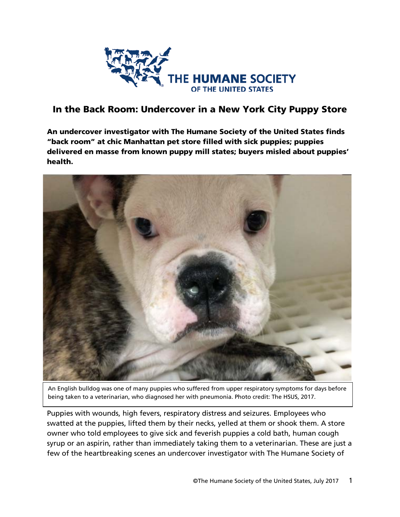

# In the Back Room: Undercover in a New York City Puppy Store

An undercover investigator with The Humane Society of the United States finds "back room" at chic Manhattan pet store filled with sick puppies; puppies delivered en masse from known puppy mill states; buyers misled about puppies' health.



An English bulldog was one of many puppies who suffered from upper respiratory symptoms for days before being taken to a veterinarian, who diagnosed her with pneumonia. Photo credit: The HSUS, 2017.

Puppies with wounds, high fevers, respiratory distress and seizures. Employees who swatted at the puppies, lifted them by their necks, yelled at them or shook them. A store owner who told employees to give sick and feverish puppies a cold bath, human cough syrup or an aspirin, rather than immediately taking them to a veterinarian. These are just a few of the heartbreaking scenes an undercover investigator with The Humane Society of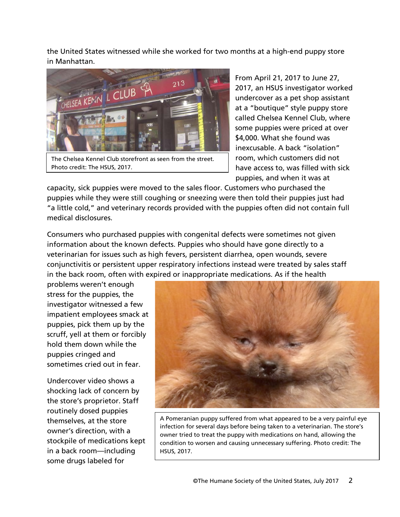the United States witnessed while she worked for two months at a high-end puppy store in Manhattan.



The Chelsea Kennel Club storefront as seen from the street. Photo credit: The HSUS, 2017.

From April 21, 2017 to June 27, 2017, an HSUS investigator worked undercover as a pet shop assistant at a "boutique" style puppy store called Chelsea Kennel Club, where some puppies were priced at over \$4,000. What she found was inexcusable. A back "isolation" room, which customers did not have access to, was filled with sick puppies, and when it was at

capacity, sick puppies were moved to the sales floor. Customers who purchased the puppies while they were still coughing or sneezing were then told their puppies just had "a little cold," and veterinary records provided with the puppies often did not contain full medical disclosures.

Consumers who purchased puppies with congenital defects were sometimes not given information about the known defects. Puppies who should have gone directly to a veterinarian for issues such as high fevers, persistent diarrhea, open wounds, severe conjunctivitis or persistent upper respiratory infections instead were treated by sales staff in the back room, often with expired or inappropriate medications. As if the health

problems weren't enough stress for the puppies, the investigator witnessed a few impatient employees smack at puppies, pick them up by the scruff, yell at them or forcibly hold them down while the puppies cringed and sometimes cried out in fear.

Undercover video shows a shocking lack of concern by the store's proprietor. Staff routinely dosed puppies themselves, at the store owner's direction, with a stockpile of medications kept in a back room—including some drugs labeled for



A Pomeranian puppy suffered from what appeared to be a very painful eye infection for several days before being taken to a veterinarian. The store's owner tried to treat the puppy with medications on hand, allowing the condition to worsen and causing unnecessary suffering. Photo credit: The HSUS, 2017.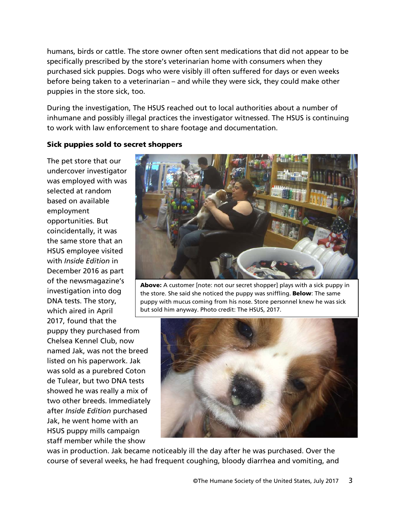humans, birds or cattle. The store owner often sent medications that did not appear to be specifically prescribed by the store's veterinarian home with consumers when they purchased sick puppies. Dogs who were visibly ill often suffered for days or even weeks before being taken to a veterinarian – and while they were sick, they could make other puppies in the store sick, too.

During the investigation, The HSUS reached out to local authorities about a number of inhumane and possibly illegal practices the investigator witnessed. The HSUS is continuing to work with law enforcement to share footage and documentation.

#### Sick puppies sold to secret shoppers

The pet store that our undercover investigator was employed with was selected at random based on available employment opportunities. But coincidentally, it was the same store that an HSUS employee visited with *Inside Edition* in December 2016 as part of the newsmagazine's investigation into dog DNA tests. The story, which aired in April 2017, found that the puppy they purchased from Chelsea Kennel Club, now named Jak, was not the breed listed on his paperwork. Jak was sold as a purebred Coton de Tulear, but two DNA tests

showed he was really a mix of two other breeds. Immediately after *Inside Edition* purchased Jak, he went home with an HSUS puppy mills campaign staff member while the show



Above: A customer [note: not our secret shopper] plays with a sick puppy in the store. She said she noticed the puppy was sniffling. Below: The same puppy with mucus coming from his nose. Store personnel knew he was sick but sold him anyway. Photo credit: The HSUS, 2017.



was in production. Jak became noticeably ill the day after he was purchased. Over the course of several weeks, he had frequent coughing, bloody diarrhea and vomiting, and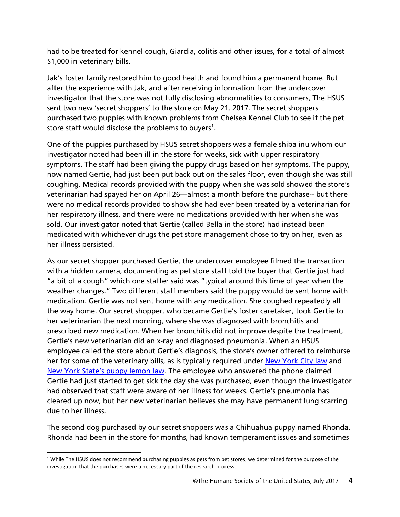had to be treated for kennel cough, Giardia, colitis and other issues, for a total of almost \$1,000 in veterinary bills.

Jak's foster family restored him to good health and found him a permanent home. But after the experience with Jak, and after receiving information from the undercover investigator that the store was not fully disclosing abnormalities to consumers, The HSUS sent two new 'secret shoppers' to the store on May 21, 2017. The secret shoppers purchased two puppies with known problems from Chelsea Kennel Club to see if the pet store staff would disclose the problems to buyers<sup>[1](#page-3-0)</sup>.

One of the puppies purchased by HSUS secret shoppers was a female shiba inu whom our investigator noted had been ill in the store for weeks, sick with upper respiratory symptoms. The staff had been giving the puppy drugs based on her symptoms. The puppy, now named Gertie, had just been put back out on the sales floor, even though she was still coughing. Medical records provided with the puppy when she was sold showed the store's veterinarian had spayed her on April 26—almost a month before the purchase-- but there were no medical records provided to show she had ever been treated by a veterinarian for her respiratory illness, and there were no medications provided with her when she was sold. Our investigator noted that Gertie (called Bella in the store) had instead been medicated with whichever drugs the pet store management chose to try on her, even as her illness persisted.

As our secret shopper purchased Gertie, the undercover employee filmed the transaction with a hidden camera, documenting as pet store staff told the buyer that Gertie just had "a bit of a cough" which one staffer said was "typical around this time of year when the weather changes." Two different staff members said the puppy would be sent home with medication. Gertie was not sent home with any medication. She coughed repeatedly all the way home. Our secret shopper, who became Gertie's foster caretaker, took Gertie to her veterinarian the next morning, where she was diagnosed with bronchitis and prescribed new medication. When her bronchitis did not improve despite the treatment, Gertie's new veterinarian did an x-ray and diagnosed pneumonia. When an HSUS employee called the store about Gertie's diagnosis, the store's owner offered to reimburse her for some of the veterinary bills, as is typically required under [New York City law](https://www.agriculture.ny.gov/AI/AILaws/Art-35D-Sale-of-Dogs-and-Cats.pdf) and [New York State's puppy lemon law.](https://ag.ny.gov/consumer-frauds/pet-lemon-law) The employee who answered the phone claimed Gertie had just started to get sick the day she was purchased, even though the investigator had observed that staff were aware of her illness for weeks. Gertie's pneumonia has cleared up now, but her new veterinarian believes she may have permanent lung scarring due to her illness.

The second dog purchased by our secret shoppers was a Chihuahua puppy named Rhonda. Rhonda had been in the store for months, had known temperament issues and sometimes

<span id="page-3-0"></span><sup>&</sup>lt;sup>1</sup> While The HSUS does not recommend purchasing puppies as pets from pet stores, we determined for the purpose of the investigation that the purchases were a necessary part of the research process.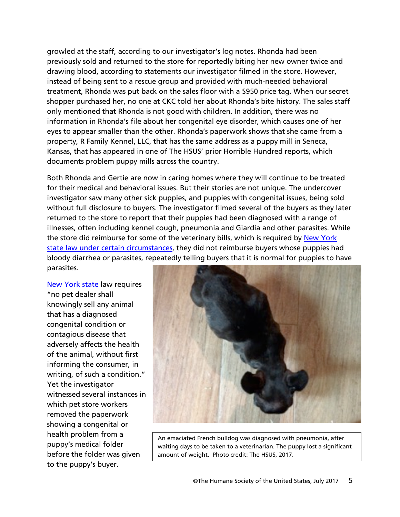growled at the staff, according to our investigator's log notes. Rhonda had been previously sold and returned to the store for reportedly biting her new owner twice and drawing blood, according to statements our investigator filmed in the store. However, instead of being sent to a rescue group and provided with much-needed behavioral treatment, Rhonda was put back on the sales floor with a \$950 price tag. When our secret shopper purchased her, no one at CKC told her about Rhonda's bite history. The sales staff only mentioned that Rhonda is not good with children. In addition, there was no information in Rhonda's file about her congenital eye disorder, which causes one of her eyes to appear smaller than the other. Rhonda's paperwork shows that she came from a property, R Family Kennel, LLC, that has the same address as a puppy mill in Seneca, Kansas, that has appeared in one of The HSUS' prior Horrible Hundred reports, which documents problem puppy mills across the country.

Both Rhonda and Gertie are now in caring homes where they will continue to be treated for their medical and behavioral issues. But their stories are not unique. The undercover investigator saw many other sick puppies, and puppies with congenital issues, being sold without full disclosure to buyers. The investigator filmed several of the buyers as they later returned to the store to report that their puppies had been diagnosed with a range of illnesses, often including kennel cough, pneumonia and Giardia and other parasites. While the store did reimburse for some of the veterinary bills, which is required by New York [state law](https://www.agriculture.ny.gov/AI/AILaws/Art-35D-Sale-of-Dogs-and-Cats.pdf) under certain circumstances, they did not reimburse buyers whose puppies had bloody diarrhea or parasites, repeatedly telling buyers that it is normal for puppies to have parasites.

[New York](https://www.agriculture.ny.gov/AI/AILaws/Art-35D-Sale-of-Dogs-and-Cats.pdf) state law requires "no pet dealer shall knowingly sell any animal that has a diagnosed congenital condition or contagious disease that adversely affects the health of the animal, without first informing the consumer, in writing, of such a condition." Yet the investigator witnessed several instances in which pet store workers removed the paperwork showing a congenital or health problem from a puppy's medical folder before the folder was given to the puppy's buyer.



An emaciated French bulldog was diagnosed with pneumonia, after waiting days to be taken to a veterinarian. The puppy lost a significant amount of weight. Photo credit: The HSUS, 2017.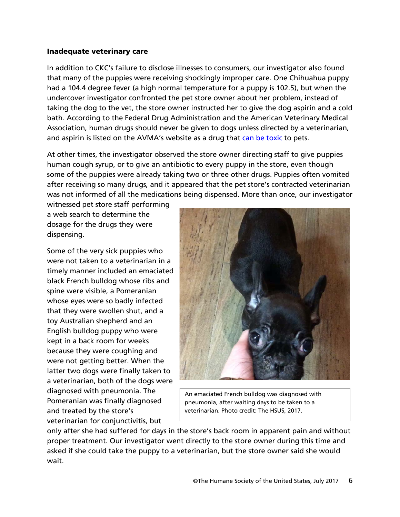#### Inadequate veterinary care

In addition to CKC's failure to disclose illnesses to consumers, our investigator also found that many of the puppies were receiving shockingly improper care. One Chihuahua puppy had a 104.4 degree fever (a high normal temperature for a puppy is 102.5), but when the undercover investigator confronted the pet store owner about her problem, instead of taking the dog to the vet, the store owner instructed her to give the dog aspirin and a cold bath. According to the Federal Drug Administration and the American Veterinary Medical Association, human drugs should never be given to dogs unless directed by a veterinarian, and aspirin is listed on the AVMA's website as a drug that [can be toxic](http://atwork.avma.org/2013/11/17/can-i-give-my-dog-my-aspirin-and-other-questions-for-your-veterinarian/) to pets.

At other times, the investigator observed the store owner directing staff to give puppies human cough syrup, or to give an antibiotic to every puppy in the store, even though some of the puppies were already taking two or three other drugs. Puppies often vomited after receiving so many drugs, and it appeared that the pet store's contracted veterinarian was not informed of all the medications being dispensed. More than once, our investigator

witnessed pet store staff performing a web search to determine the dosage for the drugs they were dispensing.

Some of the very sick puppies who were not taken to a veterinarian in a timely manner included an emaciated black French bulldog whose ribs and spine were visible, a Pomeranian whose eyes were so badly infected that they were swollen shut, and a toy Australian shepherd and an English bulldog puppy who were kept in a back room for weeks because they were coughing and were not getting better. When the latter two dogs were finally taken to a veterinarian, both of the dogs were diagnosed with pneumonia. The Pomeranian was finally diagnosed and treated by the store's veterinarian for conjunctivitis, but



An emaciated French bulldog was diagnosed with pneumonia, after waiting days to be taken to a veterinarian. Photo credit: The HSUS, 2017.

only after she had suffered for days in the store's back room in apparent pain and without proper treatment. Our investigator went directly to the store owner during this time and asked if she could take the puppy to a veterinarian, but the store owner said she would wait.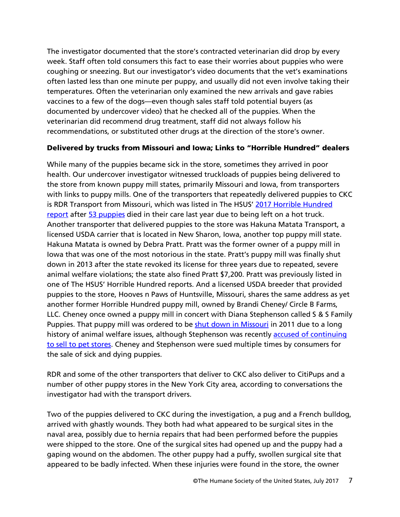The investigator documented that the store's contracted veterinarian did drop by every week. Staff often told consumers this fact to ease their worries about puppies who were coughing or sneezing. But our investigator's video documents that the vet's examinations often lasted less than one minute per puppy, and usually did not even involve taking their temperatures. Often the veterinarian only examined the new arrivals and gave rabies vaccines to a few of the dogs—even though sales staff told potential buyers (as documented by undercover video) that he checked all of the puppies. When the veterinarian did recommend drug treatment, staff did not always follow his recommendations, or substituted other drugs at the direction of the store's owner.

# Delivered by trucks from Missouri and Iowa; Links to "Horrible Hundred" dealers

While many of the puppies became sick in the store, sometimes they arrived in poor health. Our undercover investigator witnessed truckloads of puppies being delivered to the store from known puppy mill states, primarily Missouri and Iowa, from transporters with links to puppy mills. One of the transporters that repeatedly delivered puppies to CKC is RDR Transport from Missouri, which was listed in The HSUS' [2017 Horrible Hundred](http://www.humanesociety.org/news/press_releases/2017/05/horrible-hundred-2017-uncovering-puppy-mills.html)  [report](http://www.humanesociety.org/news/press_releases/2017/05/horrible-hundred-2017-uncovering-puppy-mills.html) after [53 puppies](http://www.nydailynews.com/news/national/50-puppies-died-overheating-parked-vehicle-article-1.2920434) died in their care last year due to being left on a hot truck. Another transporter that delivered puppies to the store was Hakuna Matata Transport, a licensed USDA carrier that is located in New Sharon, Iowa, another top puppy mill state. Hakuna Matata is owned by Debra Pratt. Pratt was the former owner of a puppy mill in Iowa that was one of the most notorious in the state. Pratt's puppy mill was finally shut down in 2013 after the state revoked its license for three years due to repeated, severe animal welfare violations; the state also fined Pratt \$7,200. Pratt was previously listed in one of The HSUS' Horrible Hundred reports. And a licensed USDA breeder that provided puppies to the store, Hooves n Paws of Huntsville, Missouri, shares the same address as yet another former Horrible Hundred puppy mill, owned by Brandi Cheney/ Circle B Farms, LLC. Cheney once owned a puppy mill in concert with Diana Stephenson called S & S Family Puppies. That puppy mill was ordered to be [shut down in Missouri](http://www.humanesociety.org/news/press_releases/2011/05/dirty_dozen_kennel_shuts_051811.html) in 2011 due to a long history of animal welfare issues, although Stephenson was recently [accused of continuing](http://ktvo.com/news/local/how-much-is-that-doggie-in-the-window-the-true-cost-of-puppy-mills)  [to sell to pet stores.](http://ktvo.com/news/local/how-much-is-that-doggie-in-the-window-the-true-cost-of-puppy-mills) Cheney and Stephenson were sued multiple times by consumers for the sale of sick and dying puppies.

RDR and some of the other transporters that deliver to CKC also deliver to CitiPups and a number of other puppy stores in the New York City area, according to conversations the investigator had with the transport drivers.

Two of the puppies delivered to CKC during the investigation, a pug and a French bulldog, arrived with ghastly wounds. They both had what appeared to be surgical sites in the naval area, possibly due to hernia repairs that had been performed before the puppies were shipped to the store. One of the surgical sites had opened up and the puppy had a gaping wound on the abdomen. The other puppy had a puffy, swollen surgical site that appeared to be badly infected. When these injuries were found in the store, the owner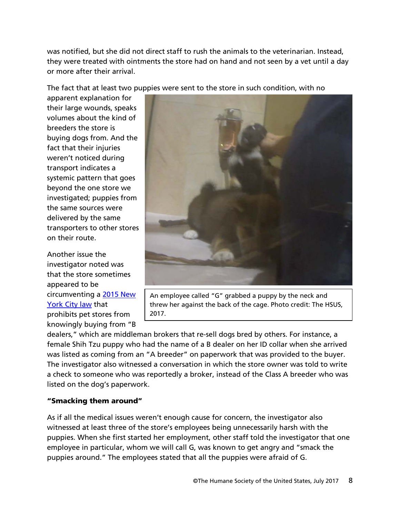was notified, but she did not direct staff to rush the animals to the veterinarian. Instead, they were treated with ointments the store had on hand and not seen by a vet until a day or more after their arrival.

The fact that at least two puppies were sent to the store in such condition, with no

apparent explanation for their large wounds, speaks volumes about the kind of breeders the store is buying dogs from. And the fact that their injuries weren't noticed during transport indicates a systemic pattern that goes beyond the one store we investigated; puppies from the same sources were delivered by the same transporters to other stores on their route.

Another issue the investigator noted was that the store sometimes appeared to be circumventing a [2015 New](http://www1.nyc.gov/assets/doh/downloads/pdf/environmental/consolidated-pet%20shop-laws.pdf)  [York City law](http://www1.nyc.gov/assets/doh/downloads/pdf/environmental/consolidated-pet%20shop-laws.pdf) that prohibits pet stores from knowingly buying from "B



An employee called "G" grabbed a puppy by the neck and threw her against the back of the cage. Photo credit: The HSUS, 2017.

dealers," which are middleman brokers that re-sell dogs bred by others. For instance, a female Shih Tzu puppy who had the name of a B dealer on her ID collar when she arrived was listed as coming from an "A breeder" on paperwork that was provided to the buyer. The investigator also witnessed a conversation in which the store owner was told to write a check to someone who was reportedly a broker, instead of the Class A breeder who was listed on the dog's paperwork.

# "Smacking them around"

As if all the medical issues weren't enough cause for concern, the investigator also witnessed at least three of the store's employees being unnecessarily harsh with the puppies. When she first started her employment, other staff told the investigator that one employee in particular, whom we will call G, was known to get angry and "smack the puppies around." The employees stated that all the puppies were afraid of G.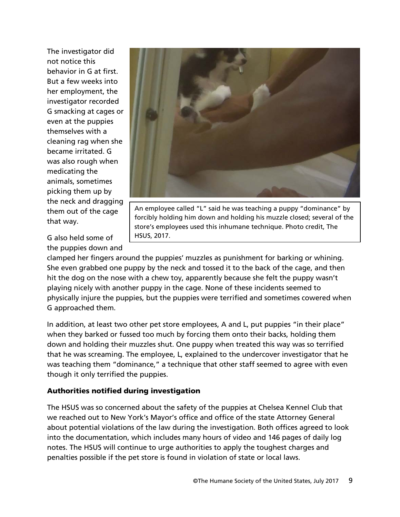The investigator did not notice this behavior in G at first. But a few weeks into her employment, the investigator recorded G smacking at cages or even at the puppies themselves with a cleaning rag when she became irritated. G was also rough when medicating the animals, sometimes picking them up by the neck and dragging them out of the cage that way.

the puppies down and

G also held some of HSUS, 2017.

An employee called "L" said he was teaching a puppy "dominance" by forcibly holding him down and holding his muzzle closed; several of the store's employees used this inhumane technique. Photo credit, The

clamped her fingers around the puppies' muzzles as punishment for barking or whining. She even grabbed one puppy by the neck and tossed it to the back of the cage, and then hit the dog on the nose with a chew toy, apparently because she felt the puppy wasn't playing nicely with another puppy in the cage. None of these incidents seemed to physically injure the puppies, but the puppies were terrified and sometimes cowered when G approached them.

In addition, at least two other pet store employees, A and L, put puppies "in their place" when they barked or fussed too much by forcing them onto their backs, holding them down and holding their muzzles shut. One puppy when treated this way was so terrified that he was screaming. The employee, L, explained to the undercover investigator that he was teaching them "dominance," a technique that other staff seemed to agree with even though it only terrified the puppies.

# Authorities notified during investigation

The HSUS was so concerned about the safety of the puppies at Chelsea Kennel Club that we reached out to New York's Mayor's office and office of the state Attorney General about potential violations of the law during the investigation. Both offices agreed to look into the documentation, which includes many hours of video and 146 pages of daily log notes. The HSUS will continue to urge authorities to apply the toughest charges and penalties possible if the pet store is found in violation of state or local laws.